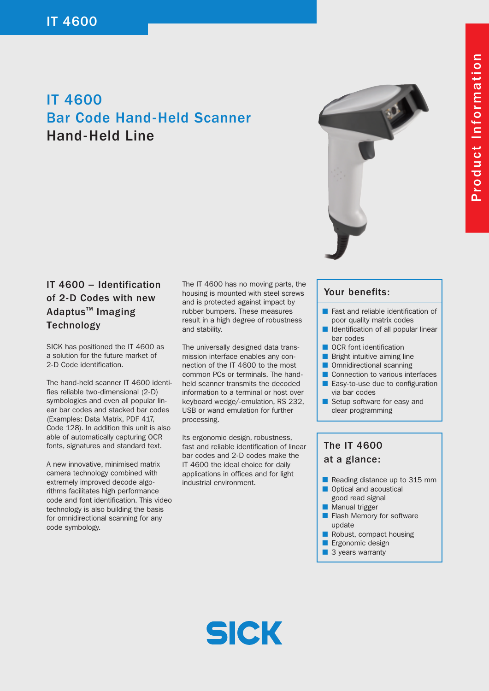# IT 4600 Bar Code Hand-Held Scanner Hand-Held Line



### IT 4600 – Identification of 2-D Codes with new Adaptus<sup>™</sup> Imaging **Technology**

SICK has positioned the IT 4600 as a solution for the future market of 2-D Code identification.

The hand-held scanner IT 4600 identifies reliable two-dimensional (2-D) symbologies and even all popular linear bar codes and stacked bar codes (Examples: Data Matrix, PDF 417, Code 128). In addition this unit is also able of automatically capturing OCR fonts, signatures and standard text.

A new innovative, minimised matrix camera technology combined with extremely improved decode algorithms facilitates high performance code and font identification. This video technology is also building the basis for omnidirectional scanning for any code symbology.

The IT 4600 has no moving parts, the housing is mounted with steel screws and is protected against impact by rubber bumpers. These measures result in a high degree of robustness and stability.

The universally designed data transmission interface enables any connection of the IT 4600 to the most common PCs or terminals. The handheld scanner transmits the decoded information to a terminal or host over keyboard wedge/-emulation, RS 232, USB or wand emulation for further processing.

Its ergonomic design, robustness, fast and reliable identification of linear bar codes and 2-D codes make the IT 4600 the ideal choice for daily applications in offices and for light industrial environment.

#### Your benefits:

- Fast and reliable identification of poor quality matrix codes
- Identification of all popular linear bar codes
- OCR font identification
- Bright intuitive aiming line
- Omnidirectional scanning
- Connection to various interfaces
- Easy-to-use due to configuration via bar codes
- Setup software for easy and clear programming

## The IT 4600 at a glance:

- Reading distance up to 315 mm
- Optical and acoustical good read signal
- Manual trigger
- Flash Memory for software update
- Robust, compact housing
- Ergonomic design
- 3 years warranty